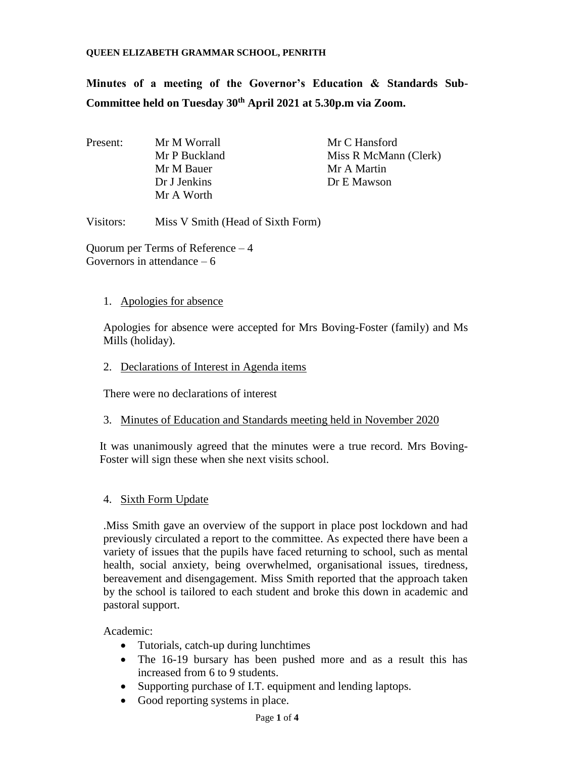#### **QUEEN ELIZABETH GRAMMAR SCHOOL, PENRITH**

**Minutes of a meeting of the Governor's Education & Standards Sub-Committee held on Tuesday 30th April 2021 at 5.30p.m via Zoom.**

Present: Mr M Worrall Mr C Hansford Mr P Buckland Miss R McMann (Clerk) Mr M Bauer Mr A Martin Dr J Jenkins Dr E Mawson Mr A Worth

Visitors: Miss V Smith (Head of Sixth Form)

Quorum per Terms of Reference – 4 Governors in attendance – 6

### 1. Apologies for absence

Apologies for absence were accepted for Mrs Boving-Foster (family) and Ms Mills (holiday).

### 2. Declarations of Interest in Agenda items

There were no declarations of interest

# 3. Minutes of Education and Standards meeting held in November 2020

It was unanimously agreed that the minutes were a true record. Mrs Boving-Foster will sign these when she next visits school.

# 4. Sixth Form Update

.Miss Smith gave an overview of the support in place post lockdown and had previously circulated a report to the committee. As expected there have been a variety of issues that the pupils have faced returning to school, such as mental health, social anxiety, being overwhelmed, organisational issues, tiredness, bereavement and disengagement. Miss Smith reported that the approach taken by the school is tailored to each student and broke this down in academic and pastoral support.

Academic:

- Tutorials, catch-up during lunchtimes
- The 16-19 bursary has been pushed more and as a result this has increased from 6 to 9 students.
- Supporting purchase of I.T. equipment and lending laptops.
- Good reporting systems in place.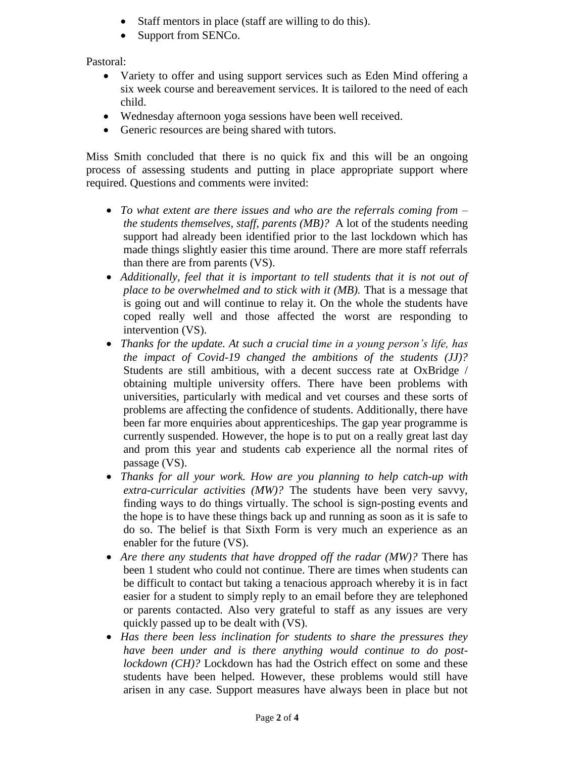- Staff mentors in place (staff are willing to do this).
- Support from SENCo.

Pastoral:

- Variety to offer and using support services such as Eden Mind offering a six week course and bereavement services. It is tailored to the need of each child.
- Wednesday afternoon yoga sessions have been well received.
- Generic resources are being shared with tutors.

Miss Smith concluded that there is no quick fix and this will be an ongoing process of assessing students and putting in place appropriate support where required. Questions and comments were invited:

- *To what extent are there issues and who are the referrals coming from – the students themselves, staff, parents (MB)?* A lot of the students needing support had already been identified prior to the last lockdown which has made things slightly easier this time around. There are more staff referrals than there are from parents (VS).
- *Additionally, feel that it is important to tell students that it is not out of place to be overwhelmed and to stick with it (MB).* That is a message that is going out and will continue to relay it. On the whole the students have coped really well and those affected the worst are responding to intervention (VS).
- *Thanks for the update. At such a crucial time in a young person's life, has the impact of Covid-19 changed the ambitions of the students (JJ)?*  Students are still ambitious, with a decent success rate at OxBridge / obtaining multiple university offers. There have been problems with universities, particularly with medical and vet courses and these sorts of problems are affecting the confidence of students. Additionally, there have been far more enquiries about apprenticeships. The gap year programme is currently suspended. However, the hope is to put on a really great last day and prom this year and students cab experience all the normal rites of passage (VS).
- *Thanks for all your work. How are you planning to help catch-up with extra-curricular activities (MW)?* The students have been very savvy, finding ways to do things virtually. The school is sign-posting events and the hope is to have these things back up and running as soon as it is safe to do so. The belief is that Sixth Form is very much an experience as an enabler for the future (VS).
- *Are there any students that have dropped off the radar (MW)?* There has been 1 student who could not continue. There are times when students can be difficult to contact but taking a tenacious approach whereby it is in fact easier for a student to simply reply to an email before they are telephoned or parents contacted. Also very grateful to staff as any issues are very quickly passed up to be dealt with (VS).
- *Has there been less inclination for students to share the pressures they have been under and is there anything would continue to do postlockdown (CH)?* Lockdown has had the Ostrich effect on some and these students have been helped. However, these problems would still have arisen in any case. Support measures have always been in place but not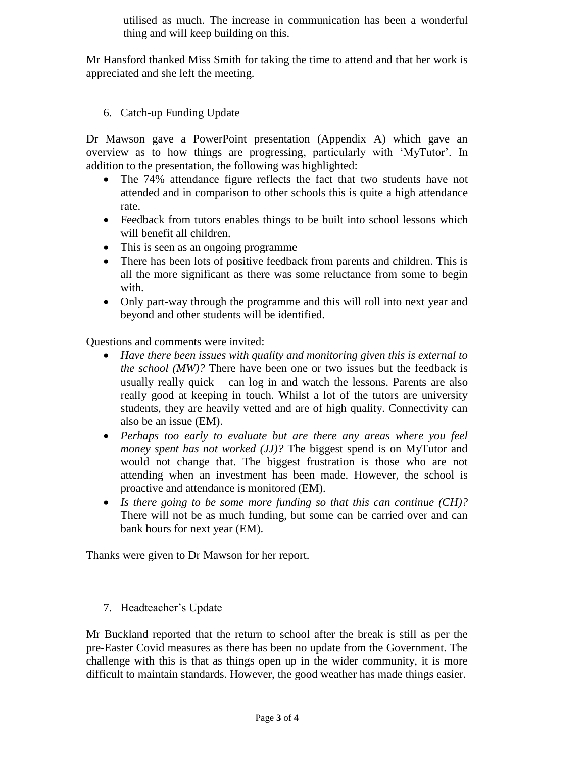utilised as much. The increase in communication has been a wonderful thing and will keep building on this.

Mr Hansford thanked Miss Smith for taking the time to attend and that her work is appreciated and she left the meeting.

# 6. Catch-up Funding Update

Dr Mawson gave a PowerPoint presentation (Appendix A) which gave an overview as to how things are progressing, particularly with 'MyTutor'. In addition to the presentation, the following was highlighted:

- The 74% attendance figure reflects the fact that two students have not attended and in comparison to other schools this is quite a high attendance rate.
- Feedback from tutors enables things to be built into school lessons which will benefit all children.
- This is seen as an ongoing programme
- There has been lots of positive feedback from parents and children. This is all the more significant as there was some reluctance from some to begin with.
- Only part-way through the programme and this will roll into next year and beyond and other students will be identified.

Questions and comments were invited:

- *Have there been issues with quality and monitoring given this is external to the school (MW)?* There have been one or two issues but the feedback is usually really quick – can log in and watch the lessons. Parents are also really good at keeping in touch. Whilst a lot of the tutors are university students, they are heavily vetted and are of high quality. Connectivity can also be an issue (EM).
- *Perhaps too early to evaluate but are there any areas where you feel money spent has not worked (JJ)?* The biggest spend is on MyTutor and would not change that. The biggest frustration is those who are not attending when an investment has been made. However, the school is proactive and attendance is monitored (EM).
- *Is there going to be some more funding so that this can continue (CH)?* There will not be as much funding, but some can be carried over and can bank hours for next year (EM).

Thanks were given to Dr Mawson for her report.

7. Headteacher's Update

Mr Buckland reported that the return to school after the break is still as per the pre-Easter Covid measures as there has been no update from the Government. The challenge with this is that as things open up in the wider community, it is more difficult to maintain standards. However, the good weather has made things easier.